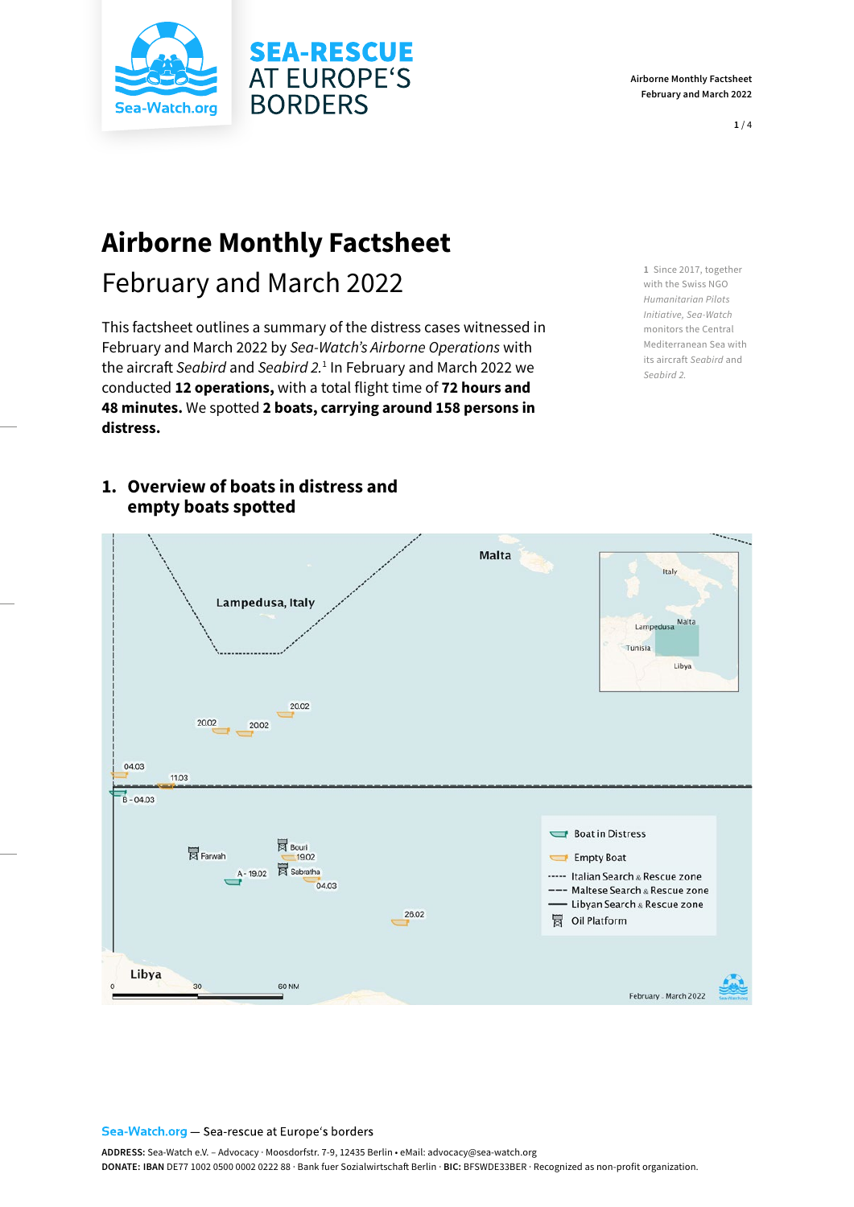



**1** / 4

# **Airborne Monthly Factsheet**

# February and March 2022

This factsheet outlines a summary of the distress cases witnessed in February and March 2022 by *Sea-Watch's Airborne Operations* with the aircraft *Seabird* and *Seabird 2.*<sup>1</sup> In February and March 2022 we conducted **12 operations,** with a total flight time of **72 hours and 48 minutes.** We spotted **2 boats, carrying around 158 persons in distress.** 

**SEA-RESCUE AT EUROPE'S** 

**BORDERS** 

**1** Since 2017, together with the Swiss NGO *Humanitarian Pilots Initiative, Sea-Watch*  monitors the Central Mediterranean Sea with its aircraft *Seabird* and *Seabird 2.*

## **1. Overview of boats in distress and empty boats spotted**



#### Sea-Watch.org - Sea-rescue at Europe's borders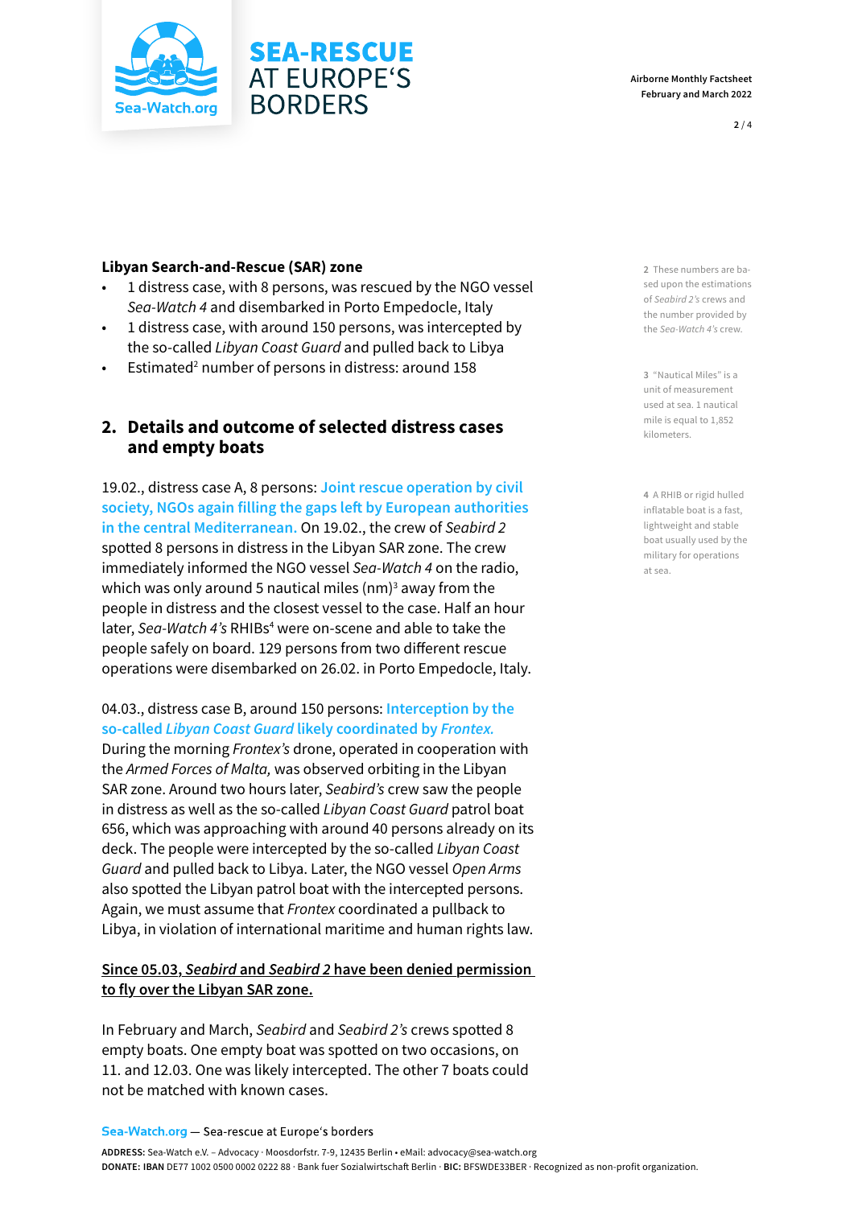

#### **Libyan Search-and-Rescue (SAR) zone**

• 1 distress case, with 8 persons, was rescued by the NGO vessel *Sea-Watch 4* and disembarked in Porto Empedocle, Italy

**SEA-RESCUE AT EUROPE'S** 

**BORDERS** 

- 1 distress case, with around 150 persons, was intercepted by the so-called *Libyan Coast Guard* and pulled back to Libya
- Estimated<sup>2</sup> number of persons in distress: around 158

### **2. Details and outcome of selected distress cases and empty boats**

19.02., distress case A, 8 persons: **Joint rescue operation by civil society, NGOs again filling the gaps left by European authorities in the central Mediterranean.** On 19.02., the crew of *Seabird 2*  spotted 8 persons in distress in the Libyan SAR zone. The crew immediately informed the NGO vessel *Sea-Watch 4* on the radio, which was only around 5 nautical miles  $(nm)^3$  away from the people in distress and the closest vessel to the case. Half an hour later, Sea-Watch 4's RHIBs<sup>4</sup> were on-scene and able to take the people safely on board. 129 persons from two different rescue operations were disembarked on 26.02. in Porto Empedocle, Italy.

04.03., distress case B, around 150 persons: **Interception by the so-called** *Libyan Coast Guard* **likely coordinated by** *Frontex.*  During the morning *Frontex's* drone, operated in cooperation with

the *Armed Forces of Malta,* was observed orbiting in the Libyan SAR zone. Around two hours later, *Seabird's* crew saw the people in distress as well as the so-called *Libyan Coast Guard* patrol boat 656, which was approaching with around 40 persons already on its deck. The people were intercepted by the so-called *Libyan Coast Guard* and pulled back to Libya. Later, the NGO vessel *Open Arms*  also spotted the Libyan patrol boat with the intercepted persons. Again, we must assume that *Frontex* coordinated a pullback to Libya, in violation of international maritime and human rights law.

#### **Since 05.03,** *Seabird* **and** *Seabird 2* **have been denied permission to fly over the Libyan SAR zone.**

In February and March, *Seabird* and *Seabird 2's* crews spotted 8 empty boats. One empty boat was spotted on two occasions, on 11. and 12.03. One was likely intercepted. The other 7 boats could not be matched with known cases.

Sea-Watch.org - Sea-rescue at Europe's borders

**2** These numbers are based upon the estimations of *Seabird 2's* crews and the number provided by the *Sea-Watch 4's* crew.

**3** "Nautical Miles" is a unit of measurement used at sea. 1 nautical mile is equal to 1,852 kilometers.

**4** A RHIB or rigid hulled inflatable boat is a fast, lightweight and stable boat usually used by the military for operations at sea.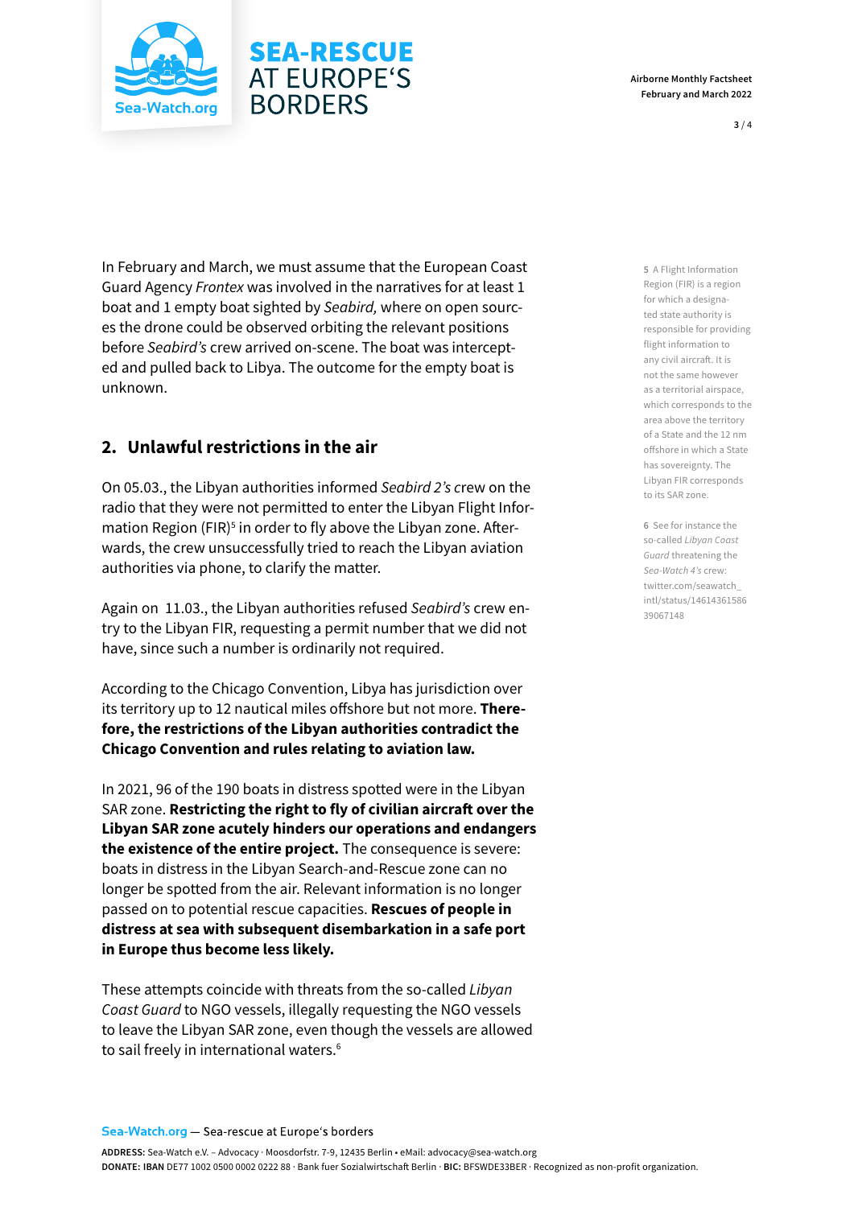

#### **Airborne Monthly Factsheet February and March 2022**

In February and March, we must assume that the European Coast Guard Agency *Frontex* was involved in the narratives for at least 1 boat and 1 empty boat sighted by *Seabird,* where on open sources the drone could be observed orbiting the relevant positions before *Seabird's* crew arrived on-scene. The boat was intercepted and pulled back to Libya. The outcome for the empty boat is unknown.

**SEA-RESCUE AT EUROPE'S** 

**BORDERS** 

### **2. Unlawful restrictions in the air**

On 05.03., the Libyan authorities informed *Seabird 2's c*rew on the radio that they were not permitted to enter the Libyan Flight Information Region (FIR)<sup>5</sup> in order to fly above the Libyan zone. Afterwards, the crew unsuccessfully tried to reach the Libyan aviation authorities via phone, to clarify the matter.

Again on 11.03., the Libyan authorities refused *Seabird's* crew entry to the Libyan FIR, requesting a permit number that we did not have, since such a number is ordinarily not required.

According to the Chicago Convention, Libya has jurisdiction over its territory up to 12 nautical miles offshore but not more. **Therefore, the restrictions of the Libyan authorities contradict the Chicago Convention and rules relating to aviation law.** 

In 2021, 96 of the 190 boats in distress spotted were in the Libyan SAR zone. **Restricting the right to fly of civilian aircraft over the Libyan SAR zone acutely hinders our operations and endangers the existence of the entire project.** The consequence is severe: boats in distress in the Libyan Search-and-Rescue zone can no longer be spotted from the air. Relevant information is no longer passed on to potential rescue capacities. **Rescues of people in distress at sea with subsequent disembarkation in a safe port in Europe thus become less likely.**

These attempts coincide with threats from the so-called *Libyan Coast Guard* to NGO vessels, illegally requesting the NGO vessels to leave the Libyan SAR zone, even though the vessels are allowed to sail freely in international waters.<sup>6</sup>

**5** A Flight Information Region (FIR) is a region for which a designated state authority is responsible for providing flight information to any civil aircraft. It is not the same however as a territorial airspace, which corresponds to the area above the territory of a State and the 12 nm offshore in which a State has sovereignty. The Libyan FIR corresponds to its SAR zone.

**6** See for instance the so-called *Libyan Coast Guard* threatening the *Sea-Watch 4's* crew: twitter.com/seawatch\_ intl/status/14614361586 39067148